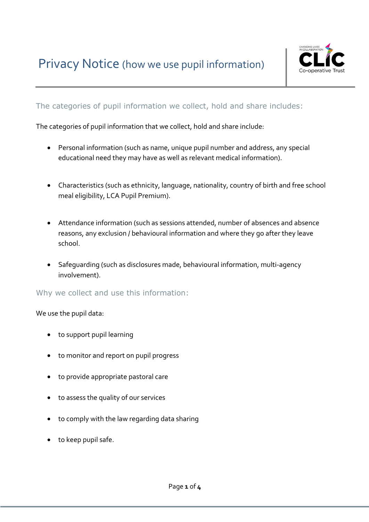

# The categories of pupil information we collect, hold and share includes:

The categories of pupil information that we collect, hold and share include:

- Personal information (such as name, unique pupil number and address, any special educational need they may have as well as relevant medical information).
- Characteristics (such as ethnicity, language, nationality, country of birth and free school meal eligibility, LCA Pupil Premium).
- Attendance information (such as sessions attended, number of absences and absence reasons, any exclusion / behavioural information and where they go after they leave school.
- Safeguarding (such as disclosures made, behavioural information, multi-agency involvement).

Why we collect and use this information:

We use the pupil data:

- to support pupil learning
- to monitor and report on pupil progress
- to provide appropriate pastoral care
- to assess the quality of our services
- to comply with the law regarding data sharing
- to keep pupil safe.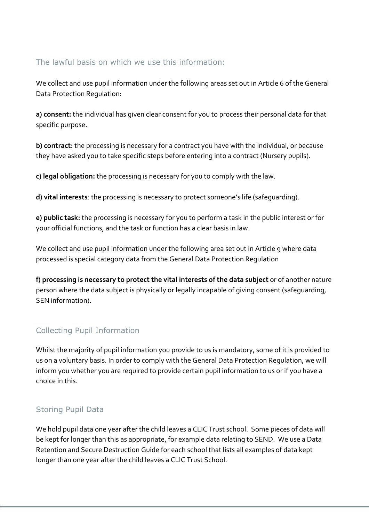## The lawful basis on which we use this information:

We collect and use pupil information under the following areas set out in Article 6 of the General Data Protection Regulation:

**a) consent:** the individual has given clear consent for you to process their personal data for that specific purpose.

**b) contract:** the processing is necessary for a contract you have with the individual, or because they have asked you to take specific steps before entering into a contract (Nursery pupils).

**c) legal obligation:** the processing is necessary for you to comply with the law.

**d) vital interests**: the processing is necessary to protect someone's life (safeguarding).

**e) public task:** the processing is necessary for you to perform a task in the public interest or for your official functions, and the task or function has a clear basis in law.

We collect and use pupil information under the following area set out in Article 9 where data processed is special category data from the General Data Protection Regulation

**f) processing is necessary to protect the vital interests of the data subject** or of another nature person where the data subject is physically or legally incapable of giving consent (safeguarding, SEN information).

## Collecting Pupil Information

Whilst the majority of pupil information you provide to us is mandatory, some of it is provided to us on a voluntary basis. In order to comply with the General Data Protection Regulation, we will inform you whether you are required to provide certain pupil information to us or if you have a choice in this.

## Storing Pupil Data

We hold pupil data one year after the child leaves a CLIC Trust school. Some pieces of data will be kept for longer than this as appropriate, for example data relating to SEND. We use a Data Retention and Secure Destruction Guide for each school that lists all examples of data kept longer than one year after the child leaves a CLIC Trust School.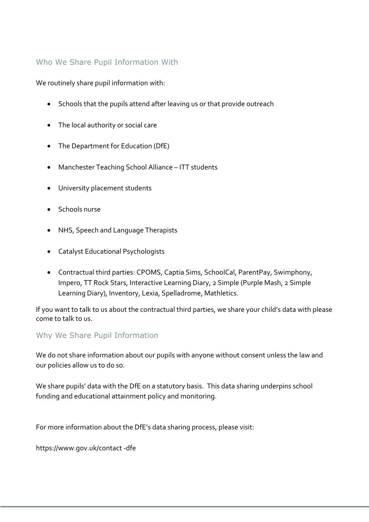## Who We Share Pupil Information With

We routinely share pupil information with:

- Schools that the pupils attend after leaving us or that provide outreach
- The local authority or social care
- The Department for Education (DfE)
- Manchester Teaching School Alliance ITT students
- University placement students
- Schools nurse
- NHS, Speech and Language Therapists
- Catalyst Educational Psychologists
- Contractual third parties: CPOMS, Captia Sims, SchoolCal, ParentPay, Swimphony, Impero, TT Rock Stars, Interactive Learning Diary, 2 Simple (Purple Mash, 2 Simple Learning Diary), Inventory, Lexia, Spelladrome, Mathletics.

If you want to talk to us about the contractual third parties, we share your child's data with please come to talk to us.

#### Why We Share Pupil Information

We do not share information about our pupils with anyone without consent unless the law and our policies allow us to do so.

We share pupils' data with the DfE on a statutory basis. This data sharing underpins school funding and educational attainment policy and monitoring.

For more information about the DfE's data sharing process, please visit:

https://www.gov.uk/contact -dfe